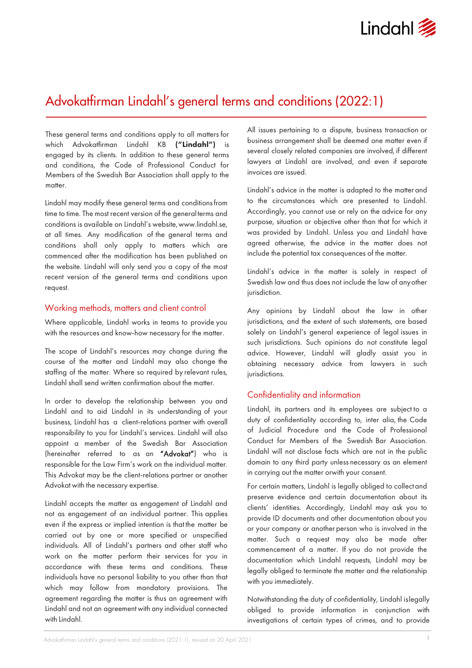

# Advokatfirman Lindahl's general terms and conditions (2022:1)

These general terms and conditions apply to all matters for which Advokatfirman Lindahl KB ("Lindahl") is engaged by its clients. In addition to these general terms and conditions, the Code of Professional Conduct for Members of the Swedish Bar Association shall apply to the matter.

Lindahl may modify these general terms and conditionsfrom time to time. The most recent version of the general terms and conditions is available on Lindahl's website[,www.lindahl.se,](http://www.lindahl.se/) at all times. Any modification of the general terms and conditions shall only apply to matters which are commenced after the modification has been published on the website. Lindahl will only send you a copy of the most recent version of the general terms and conditions upon request.

## Working methods, matters and client control

Where applicable, Lindahl works in teams to provide you with the resources and know-how necessary for the matter.

The scope of Lindahl's resources may change during the course of the matter and Lindahl may also change the staffing of the matter. Where so required by relevant rules, Lindahl shall send written confirmation about the matter.

In order to develop the relationship between you and Lindahl and to aid Lindahl in its understanding of your business, Lindahl has a client-relations partner with overall responsibility to you for Lindahl's services. Lindahl will also appoint a member of the Swedish Bar Association (hereinafter referred to as an "Advokat") who is responsible for the Law Firm's work on the individual matter. This Advokat may be the client-relations partner or another Advokat with the necessary expertise.

Lindahl accepts the matter as engagement of Lindahl and not as engagement of an individual partner. This applies even if the express or implied intention is that the matter be carried out by one or more specified or unspecified individuals. All of Lindahl's partners and other staff who work on the matter perform their services for you in accordance with these terms and conditions. These individuals have no personal liability to you other than that which may follow from mandatory provisions. The agreement regarding the matter is thus an agreement with Lindahl and not an agreement with any individual connected with Lindahl.

All issues pertaining to a dispute, business transaction or business arrangement shall be deemed one matter even if several closely related companies are involved, if different lawyers at Lindahl are involved, and even if separate invoices are issued.

Lindahl's advice in the matter is adapted to the matter and to the circumstances which are presented to Lindahl. Accordingly, you cannot use or rely on the advice for any purpose, situation or objective other than that for which it was provided by Lindahl. Unless you and Lindahl have agreed otherwise, the advice in the matter does not include the potential tax consequences of the matter.

Lindahl's advice in the matter is solely in respect of Swedish law and thus does not include the law of anyother jurisdiction.

Any opinions by Lindahl about the law in other jurisdictions, and the extent of such statements, are based solely on Lindahl's general experience of legal issues in such jurisdictions. Such opinions do not constitute legal advice. However, Lindahl will gladly assist you in obtaining necessary advice from lawyers in such jurisdictions.

## Confidentiality and information

Lindahl, its partners and its employees are subject to a duty of confidentiality according to, inter alia, the Code of Judicial Procedure and the Code of Professional Conduct for Members of the Swedish Bar Association. Lindahl will not disclose facts which are not in the public domain to any third party unless necessary as an element in carrying out the matter orwith your consent.

For certain matters, Lindahl is legally obliged to collectand preserve evidence and certain documentation about its clients' identities. Accordingly, Lindahl may ask you to provide ID documents and other documentation about you or your company or another person who is involved in the matter. Such a request may also be made after commencement of a matter. If you do not provide the documentation which Lindahl requests, Lindahl may be legally obliged to terminate the matter and the relationship with you immediately.

Notwithstanding the duty of confidentiality, Lindahl islegally obliged to provide information in conjunction with investigations of certain types of crimes, and to provide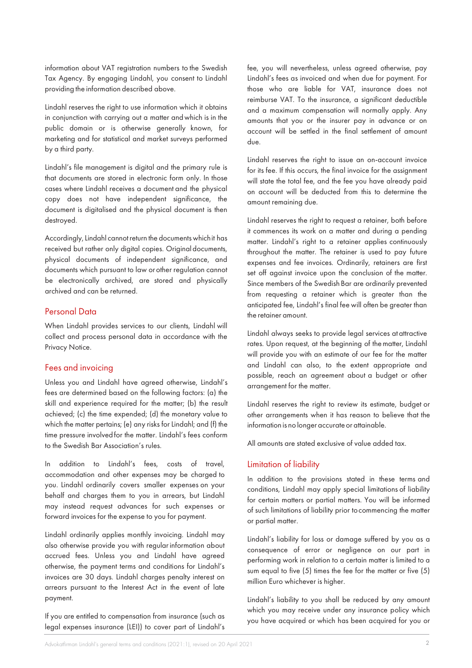information about VAT registration numbers to the Swedish Tax Agency. By engaging Lindahl, you consent to Lindahl providing the information described above.

Lindahl reserves the right to use information which it obtains in conjunction with carrying out a matter andwhich is in the public domain or is otherwise generally known, for marketing and for statistical and market surveys performed by a third party.

Lindahl's file management is digital and the primary rule is that documents are stored in electronic form only. In those cases where Lindahl receives a document and the physical copy does not have independent significance, the document is digitalised and the physical document is then destroyed.

Accordingly, Lindahl cannot return the documents which it has received but rather only digital copies. Original documents, physical documents of independent significance, and documents which pursuant to law orother regulation cannot be electronically archived, are stored and physically archived and can be returned.

## Personal Data

When Lindahl provides services to our clients, Lindahl will collect and process personal data in accordance with the Privacy Notice.

#### Fees and invoicing

Unless you and Lindahl have agreed otherwise, Lindahl's fees are determined based on the following factors: (a) the skill and experience required for the matter; (b) the result achieved; (c) the time expended; (d) the monetary value to which the matter pertains; (e) any risks for Lindahl; and (f) the time pressure involvedfor the matter. Lindahl's fees conform to the Swedish Bar Association's rules.

In addition to Lindahl's fees, costs of travel, accommodation and other expenses may be charged to you. Lindahl ordinarily covers smaller expenses on your behalf and charges them to you in arrears, but Lindahl may instead request advances for such expenses or forward invoices for the expense to you for payment.

Lindahl ordinarily applies monthly invoicing. Lindahl may also otherwise provide you with regular information about accrued fees. Unless you and Lindahl have agreed otherwise, the payment terms and conditions for Lindahl's invoices are 30 days. Lindahl charges penalty interest on arrears pursuant to the Interest Act in the event of late payment.

If you are entitled to compensation from insurance (such as legal expenses insurance (LEI)) to cover part of Lindahl's fee, you will nevertheless, unless agreed otherwise, pay Lindahl's fees as invoiced and when due for payment. For those who are liable for VAT, insurance does not reimburse VAT. To the insurance, a significant deductible and a maximum compensation will normally apply. Any amounts that you or the insurer pay in advance or on account will be settled in the final settlement of amount due.

Lindahl reserves the right to issue an on-account invoice for its fee. If this occurs, the final invoice for the assignment will state the total fee, and the fee you have already paid on account will be deducted from this to determine the amount remaining due.

Lindahl reserves the right to request a retainer, both before it commences its work on a matter and during a pending matter. Lindahl's right to a retainer applies continuously throughout the matter. The retainer is used to pay future expenses and fee invoices. Ordinarily, retainers are first set off against invoice upon the conclusion of the matter. Since members of the Swedish Bar are ordinarily prevented from requesting a retainer which is greater than the anticipated fee, Lindahl's final fee will often be greater than the retainer amount.

Lindahl always seeks to provide legal services at attractive rates. Upon request, at the beginning of thematter, Lindahl will provide you with an estimate of our fee for the matter and Lindahl can also, to the extent appropriate and possible, reach an agreement about a budget or other arrangement for the matter.

Lindahl reserves the right to review its estimate, budget or other arrangements when it has reason to believe that the information is no longer accurate or attainable.

All amounts are stated exclusive of value added tax.

## Limitation of liability

In addition to the provisions stated in these terms and conditions, Lindahl may apply special limitations of liability for certain matters or partial matters. You will be informed of such limitations of liability prior tocommencing the matter or partial matter.

Lindahl's liability for loss or damage suffered by you as a consequence of error or negligence on our part in performing work in relation to a certain matter is limited to a sum equal to five (5) times the fee for the matter or five (5) million Euro whichever is higher.

Lindahl's liability to you shall be reduced by any amount which you may receive under any insurance policy which you have acquired or which has been acquired for you or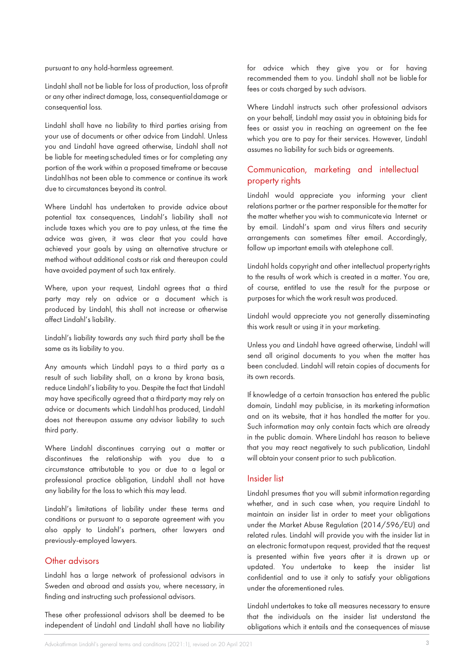pursuant to any hold-harmless agreement.

Lindahl shall not be liable for loss of production, loss ofprofit or any other indirect damage, loss, consequentialdamage or consequential loss.

Lindahl shall have no liability to third parties arising from your use of documents or other advice from Lindahl. Unless you and Lindahl have agreed otherwise, Lindahl shall not be liable for meetingscheduled times or for completing any portion of the work within a proposed timeframe or because Lindahlhas not been able to commence or continue its work due to circumstances beyond its control.

Where Lindahl has undertaken to provide advice about potential tax consequences, Lindahl's liability shall not include taxes which you are to pay unless, at the time the advice was given, it was clear that you could have achieved your goals by using an alternative structure or method without additional costsor risk and thereupon could have avoided payment of such tax entirely.

Where, upon your request, Lindahl agrees that a third party may rely on advice or a document which is produced by Lindahl, this shall not increase or otherwise affect Lindahl's liability.

Lindahl's liability towards any such third party shall be the same as its liability to you.

Any amounts which Lindahl pays to a third party as a result of such liability shall, on a krona by krona basis, reduce Lindahl's liability to you. Despite the fact that Lindahl may have specifically agreed that a thirdparty may rely on advice or documents which Lindahl has produced, Lindahl does not thereupon assume any advisor liability to such third party.

Where Lindahl discontinues carrying out a matter or discontinues the relationship with you due to a circumstance attributable to you or due to a legal or professional practice obligation, Lindahl shall not have any liability for the loss to which this may lead.

Lindahl's limitations of liability under these terms and conditions or pursuant to a separate agreement with you also apply to Lindahl's partners, other lawyers and previously-employed lawyers.

## Other advisors

Lindahl has a large network of professional advisors in Sweden and abroad and assists you, where necessary, in finding and instructing such professional advisors.

These other professional advisors shall be deemed to be independent of Lindahl and Lindahl shall have no liability for advice which they give you or for having recommended them to you. Lindahl shall not be liable for fees or costs charged by such advisors.

Where Lindahl instructs such other professional advisors on your behalf, Lindahl may assist you in obtaining bids for fees or assist you in reaching an agreement on the fee which you are to pay for their services. However, Lindahl assumes no liability for such bids or agreements.

## Communication, marketing and intellectual property rights

Lindahl would appreciate you informing your client relations partner or the partner responsible for thematter for the matter whether you wish to communicatevia Internet or by email. Lindahl's spam and virus filters and security arrangements can sometimes filter email. Accordingly, follow up important emails with atelephone call.

Lindahl holds copyright and other intellectual propertyrights to the results of work which is created in a matter. You are, of course, entitled to use the result for the purpose or purposes for which the work result was produced.

Lindahl would appreciate you not generally disseminating this work result or using it in your marketing.

Unless you and Lindahl have agreed otherwise, Lindahl will send all original documents to you when the matter has been concluded. Lindahl will retain copies of documents for its own records.

If knowledge of a certain transaction has entered the public domain, Lindahl may publicise, in its marketing information and on its website, that it has handled the matter for you. Such information may only contain facts which are already in the public domain. Where Lindahl has reason to believe that you may react negatively to such publication, Lindahl will obtain your consent prior to such publication.

#### Insider list

Lindahl presumes that you will submit information regarding whether, and in such case when, you require Lindahl to maintain an insider list in order to meet your obligations under the Market Abuse Regulation (2014/596/EU) and related rules. Lindahl will provide you with the insider list in an electronic formatupon request, provided that the request is presented within five years after it is drawn up or updated. You undertake to keep the insider list confidential and to use it only to satisfy your obligations under the aforementioned rules.

Lindahl undertakes to take all measures necessary to ensure that the individuals on the insider list understand the obligations which it entails and the consequences of misuse